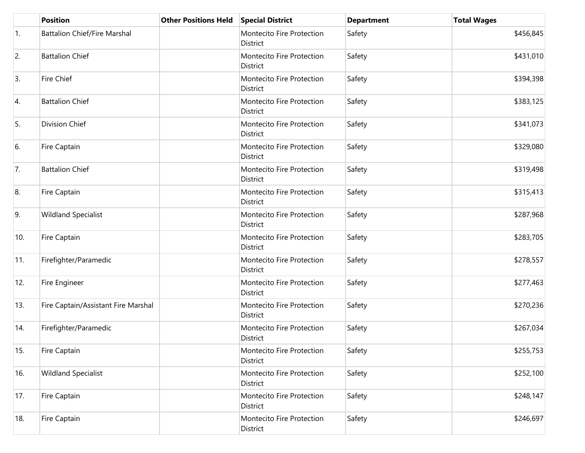|     | <b>Position</b>                     | <b>Other Positions Held</b> | <b>Special District</b>               | <b>Department</b> | <b>Total Wages</b> |
|-----|-------------------------------------|-----------------------------|---------------------------------------|-------------------|--------------------|
| 1.  | <b>Battalion Chief/Fire Marshal</b> |                             | Montecito Fire Protection<br>District | Safety            | \$456,845          |
| 2.  | <b>Battalion Chief</b>              |                             | Montecito Fire Protection<br>District | Safety            | \$431,010          |
| 3.  | Fire Chief                          |                             | Montecito Fire Protection<br>District | Safety            | \$394,398          |
| 4.  | <b>Battalion Chief</b>              |                             | Montecito Fire Protection<br>District | Safety            | \$383,125          |
| 5.  | Division Chief                      |                             | Montecito Fire Protection<br>District | Safety            | \$341,073          |
| 6.  | Fire Captain                        |                             | Montecito Fire Protection<br>District | Safety            | \$329,080          |
| 7.  | <b>Battalion Chief</b>              |                             | Montecito Fire Protection<br>District | Safety            | \$319,498          |
| 8.  | Fire Captain                        |                             | Montecito Fire Protection<br>District | Safety            | \$315,413          |
| 9.  | <b>Wildland Specialist</b>          |                             | Montecito Fire Protection<br>District | Safety            | \$287,968          |
| 10. | Fire Captain                        |                             | Montecito Fire Protection<br>District | Safety            | \$283,705          |
| 11. | Firefighter/Paramedic               |                             | Montecito Fire Protection<br>District | Safety            | \$278,557          |
| 12. | Fire Engineer                       |                             | Montecito Fire Protection<br>District | Safety            | \$277,463          |
| 13. | Fire Captain/Assistant Fire Marshal |                             | Montecito Fire Protection<br>District | Safety            | \$270,236          |
| 14. | Firefighter/Paramedic               |                             | Montecito Fire Protection<br>District | Safety            | \$267,034          |
| 15. | Fire Captain                        |                             | Montecito Fire Protection<br>District | Safety            | \$255,753          |
| 16. | <b>Wildland Specialist</b>          |                             | Montecito Fire Protection<br>District | Safety            | \$252,100          |
| 17. | Fire Captain                        |                             | Montecito Fire Protection<br>District | Safety            | \$248,147          |
| 18. | Fire Captain                        |                             | Montecito Fire Protection<br>District | Safety            | \$246,697          |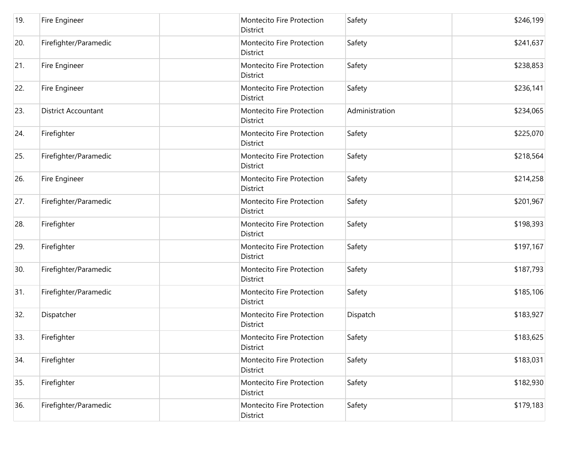| 19. | Fire Engineer              | Montecito Fire Protection<br>District        | Safety         | \$246,199 |
|-----|----------------------------|----------------------------------------------|----------------|-----------|
| 20. | Firefighter/Paramedic      | Montecito Fire Protection<br>District        | Safety         | \$241,637 |
| 21. | Fire Engineer              | Montecito Fire Protection<br>District        | Safety         | \$238,853 |
| 22. | Fire Engineer              | Montecito Fire Protection<br><b>District</b> | Safety         | \$236,141 |
| 23. | <b>District Accountant</b> | Montecito Fire Protection<br>District        | Administration | \$234,065 |
| 24. | Firefighter                | Montecito Fire Protection<br>District        | Safety         | \$225,070 |
| 25. | Firefighter/Paramedic      | Montecito Fire Protection<br>District        | Safety         | \$218,564 |
| 26. | Fire Engineer              | Montecito Fire Protection<br>District        | Safety         | \$214,258 |
| 27. | Firefighter/Paramedic      | Montecito Fire Protection<br>District        | Safety         | \$201,967 |
| 28. | Firefighter                | Montecito Fire Protection<br>District        | Safety         | \$198,393 |
| 29. | Firefighter                | Montecito Fire Protection<br>District        | Safety         | \$197,167 |
| 30. | Firefighter/Paramedic      | Montecito Fire Protection<br>District        | Safety         | \$187,793 |
| 31. | Firefighter/Paramedic      | Montecito Fire Protection<br>District        | Safety         | \$185,106 |
| 32. | Dispatcher                 | Montecito Fire Protection<br><b>District</b> | Dispatch       | \$183,927 |
| 33. | Firefighter                | Montecito Fire Protection<br>District        | Safety         | \$183,625 |
| 34. | Firefighter                | Montecito Fire Protection<br>District        | Safety         | \$183,031 |
| 35. | Firefighter                | Montecito Fire Protection<br>District        | Safety         | \$182,930 |
| 36. | Firefighter/Paramedic      | Montecito Fire Protection<br>District        | Safety         | \$179,183 |